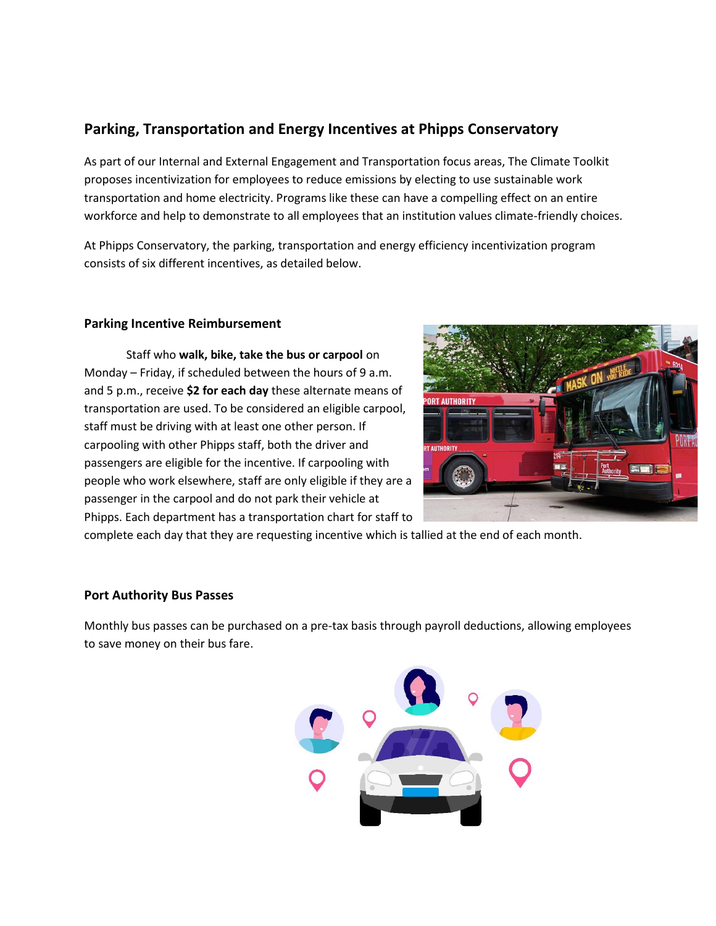# **Parking, Transportation and Energy Incentives at Phipps Conservatory**

As part of our Internal and External Engagement and Transportation focus areas, The Climate Toolkit proposes incentivization for employees to reduce emissions by electing to use sustainable work transportation and home electricity. Programs like these can have a compelling effect on an entire workforce and help to demonstrate to all employees that an institution values climate-friendly choices.

At Phipps Conservatory, the parking, transportation and energy efficiency incentivization program consists of six different incentives, as detailed below.

#### **Parking Incentive Reimbursement**

Staff who **walk, bike, take the bus or carpool** on Monday – Friday, if scheduled between the hours of 9 a.m. and 5 p.m., receive **\$2 for each day** these alternate means of transportation are used. To be considered an eligible carpool, staff must be driving with at least one other person. If carpooling with other Phipps staff, both the driver and passengers are eligible for the incentive. If carpooling with people who work elsewhere, staff are only eligible if they are a passenger in the carpool and do not park their vehicle at Phipps. Each department has a transportation chart for staff to



complete each day that they are requesting incentive which is tallied at the end of each month.

# **Port Authority Bus Passes**

Monthly bus passes can be purchased on a pre-tax basis through payroll deductions, allowing employees to save money on their bus fare.

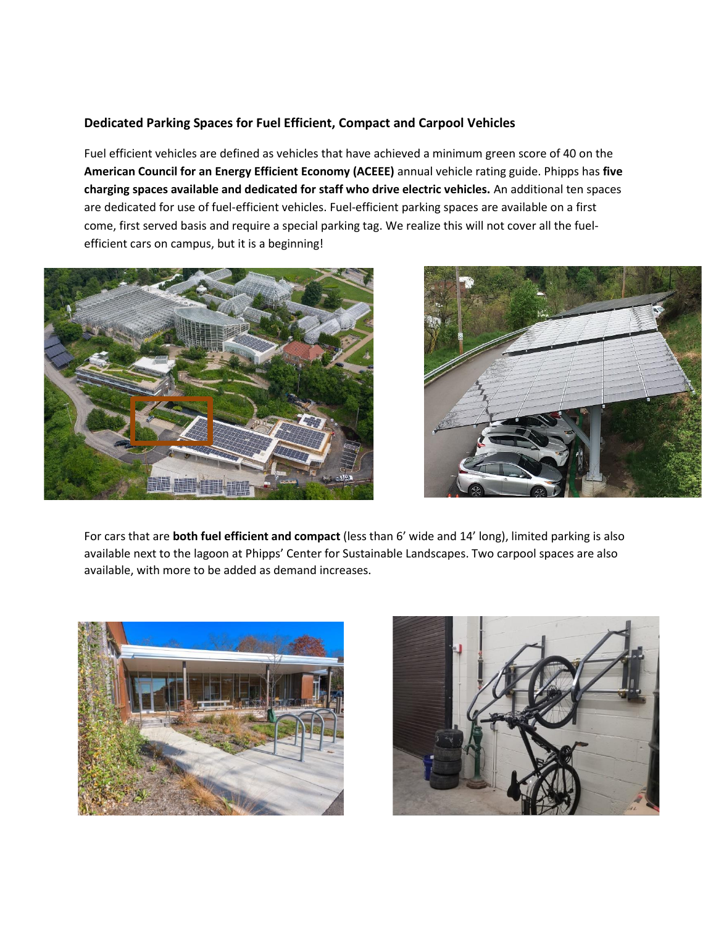# **Dedicated Parking Spaces for Fuel Efficient, Compact and Carpool Vehicles**

Fuel efficient vehicles are defined as vehicles that have achieved a minimum green score of 40 on the **American Council for an Energy Efficient Economy (ACEEE)** annual vehicle rating guide. Phipps has **five charging spaces available and dedicated for staff who drive electric vehicles.** An additional ten spaces are dedicated for use of fuel-efficient vehicles. Fuel-efficient parking spaces are available on a first come, first served basis and require a special parking tag. We realize this will not cover all the fuelefficient cars on campus, but it is a beginning!





For cars that are **both fuel efficient and compact** (less than 6' wide and 14' long), limited parking is also available next to the lagoon at Phipps' Center for Sustainable Landscapes. Two carpool spaces are also available, with more to be added as demand increases.